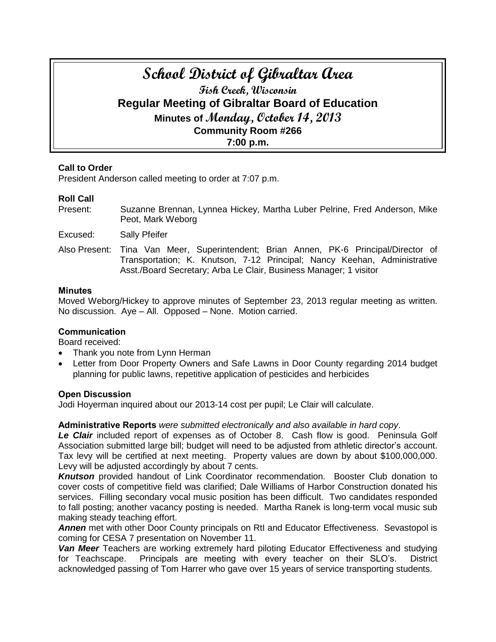# **School District of Gibraltar Area Fish Creek, Wisconsin Regular Meeting of Gibraltar Board of Education Minutes of Monday, October 14, 2013 Community Room #266 7:00 p.m.**

# **Call to Order**

President Anderson called meeting to order at 7:07 p.m.

# **Roll Call**

- Present: Suzanne Brennan, Lynnea Hickey, Martha Luber Pelrine, Fred Anderson, Mike Peot, Mark Weborg
- Excused: Sally Pfeifer
- Also Present: Tina Van Meer, Superintendent; Brian Annen, PK-6 Principal/Director of Transportation; K. Knutson, 7-12 Principal; Nancy Keehan, Administrative Asst./Board Secretary; Arba Le Clair, Business Manager; 1 visitor

## **Minutes**

Moved Weborg/Hickey to approve minutes of September 23, 2013 regular meeting as written. No discussion. Aye – All. Opposed – None. Motion carried.

# **Communication**

Board received:

- Thank you note from Lynn Herman
- Letter from Door Property Owners and Safe Lawns in Door County regarding 2014 budget planning for public lawns, repetitive application of pesticides and herbicides

# **Open Discussion**

Jodi Hoyerman inquired about our 2013-14 cost per pupil; Le Clair will calculate.

# **Administrative Reports** *were submitted electronically and also available in hard copy*.

Le Clair included report of expenses as of October 8. Cash flow is good. Peninsula Golf Association submitted large bill; budget will need to be adjusted from athletic director's account. Tax levy will be certified at next meeting. Property values are down by about \$100,000,000. Levy will be adjusted accordingly by about 7 cents.

**Knutson** provided handout of Link Coordinator recommendation. Booster Club donation to cover costs of competitive field was clarified; Dale Williams of Harbor Construction donated his services. Filling secondary vocal music position has been difficult. Two candidates responded to fall posting; another vacancy posting is needed. Martha Ranek is long-term vocal music sub making steady teaching effort.

*Annen* met with other Door County principals on RtI and Educator Effectiveness. Sevastopol is coming for CESA 7 presentation on November 11.

*Van Meer* Teachers are working extremely hard piloting Educator Effectiveness and studying for Teachscape. Principals are meeting with every teacher on their SLO's. District acknowledged passing of Tom Harrer who gave over 15 years of service transporting students.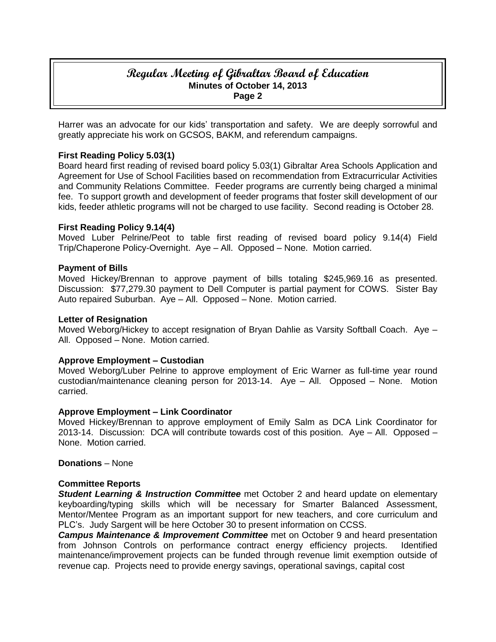# **Regular Meeting of Gibraltar Board of Education Minutes of October 14, 2013 Page 2**

Harrer was an advocate for our kids' transportation and safety. We are deeply sorrowful and greatly appreciate his work on GCSOS, BAKM, and referendum campaigns.

## **First Reading Policy 5.03(1)**

Board heard first reading of revised board policy 5.03(1) Gibraltar Area Schools Application and Agreement for Use of School Facilities based on recommendation from Extracurricular Activities and Community Relations Committee. Feeder programs are currently being charged a minimal fee. To support growth and development of feeder programs that foster skill development of our kids, feeder athletic programs will not be charged to use facility. Second reading is October 28.

## **First Reading Policy 9.14(4)**

Moved Luber Pelrine/Peot to table first reading of revised board policy 9.14(4) Field Trip/Chaperone Policy-Overnight. Aye – All. Opposed – None. Motion carried.

#### **Payment of Bills**

Moved Hickey/Brennan to approve payment of bills totaling \$245,969.16 as presented. Discussion: \$77,279.30 payment to Dell Computer is partial payment for COWS. Sister Bay Auto repaired Suburban. Aye – All. Opposed – None. Motion carried.

#### **Letter of Resignation**

Moved Weborg/Hickey to accept resignation of Bryan Dahlie as Varsity Softball Coach. Aye – All. Opposed – None. Motion carried.

## **Approve Employment – Custodian**

Moved Weborg/Luber Pelrine to approve employment of Eric Warner as full-time year round custodian/maintenance cleaning person for 2013-14. Aye – All. Opposed – None. Motion carried.

#### **Approve Employment – Link Coordinator**

Moved Hickey/Brennan to approve employment of Emily Salm as DCA Link Coordinator for 2013-14. Discussion: DCA will contribute towards cost of this position. Aye – All. Opposed – None. Motion carried.

#### **Donations** – None

## **Committee Reports**

*Student Learning & Instruction Committee* met October 2 and heard update on elementary keyboarding/typing skills which will be necessary for Smarter Balanced Assessment, Mentor/Mentee Program as an important support for new teachers, and core curriculum and PLC's. Judy Sargent will be here October 30 to present information on CCSS.

*Campus Maintenance & Improvement Committee* met on October 9 and heard presentation from Johnson Controls on performance contract energy efficiency projects. Identified maintenance/improvement projects can be funded through revenue limit exemption outside of revenue cap. Projects need to provide energy savings, operational savings, capital cost